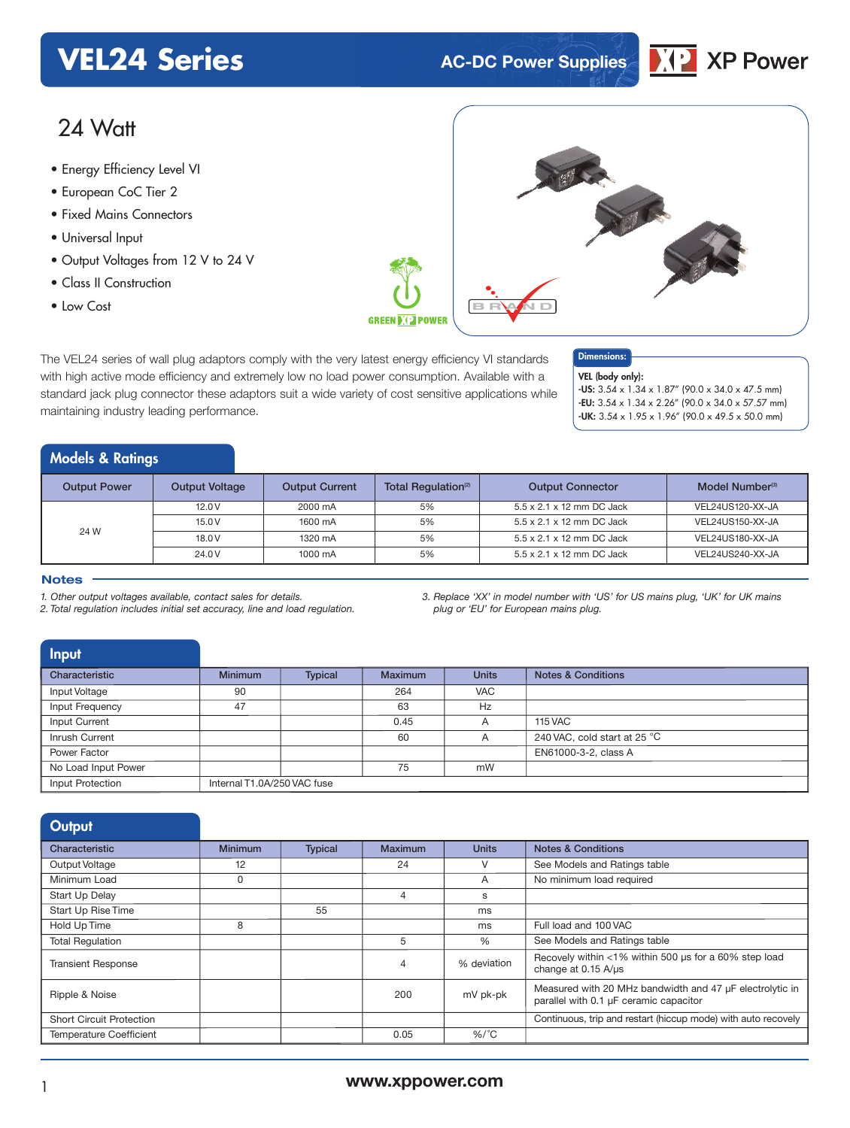## **VEL24 Series AC-DC** Power Supplies



## 24 Watt

- **xxx Series** Energy Efficiency Level VI
- European CoC Tier 2
- Fixed Mains Connectors
- Universal Input
- Output Voltages from 12 V to 24 V
- Class II Construction
- 



The VEL24 series of wall plug adaptors comply with the very latest energy efficiency VI standards with high active mode efficiency and extremely low no load power consumption. Available with a standard jack plug connector these adaptors suit a wide variety of cost sensitive applications while maintaining industry leading performance.

### Dimensions:

VEL (body only): -US: 3.54 x 1.34 x 1.87" (90.0 x 34.0 x 47.5 mm) -EU:  $3.54 \times 1.34 \times 2.26''$  (90.0 x 34.0 x 57.57 mm)  $-UK: 3.54 \times 1.95 \times 1.96''$  (90.0 x 49.5 x 50.0 mm)

#### Models & Ratings

| <b>Output Power</b> | <b>Output Voltage</b> | <b>Output Current</b> | Total Regulation <sup>(2)</sup> | <b>Output Connector</b>   | Model Number <sup>(3)</sup> |
|---------------------|-----------------------|-----------------------|---------------------------------|---------------------------|-----------------------------|
|                     | 12.0V                 | 2000 mA               | 5%                              | 5.5 x 2.1 x 12 mm DC Jack | VEL24US120-XX-JA            |
| 24 W                | 15.0 V                | 1600 mA               | 5%                              | 5.5 x 2.1 x 12 mm DC Jack | VEL24US150-XX-JA            |
|                     | 18.0 V                | 1320 mA               | 5%                              | 5.5 x 2.1 x 12 mm DC Jack | VEL24US180-XX-JA            |
|                     | 24.0V                 | 1000 mA               | 5%                              | 5.5 x 2.1 x 12 mm DC Jack | VEL24US240-XX-JA            |

#### **Notes**

*1. Other output voltages available, contact sales for details.*

*2. Total regulation includes initial set accuracy, line and load regulation.*

*3. Replace 'XX' in model number with 'US' for US mains plug, 'UK' for UK mains plug or 'EU' for European mains plug.*

| <b>Input</b>        |                             |                |                |              |                               |
|---------------------|-----------------------------|----------------|----------------|--------------|-------------------------------|
| Characteristic      | <b>Minimum</b>              | <b>Typical</b> | <b>Maximum</b> | <b>Units</b> | <b>Notes &amp; Conditions</b> |
| Input Voltage       | 90                          |                | 264            | <b>VAC</b>   |                               |
| Input Frequency     | 47                          |                | 63             | Hz           |                               |
| Input Current       |                             |                | 0.45           | A            | <b>115 VAC</b>                |
| Inrush Current      |                             |                | 60             | A            | 240 VAC, cold start at 25 °C  |
| Power Factor        |                             |                |                |              | EN61000-3-2, class A          |
| No Load Input Power |                             |                | 75             | mW           |                               |
| Input Protection    | Internal T1.0A/250 VAC fuse |                |                |              |                               |

| Output                          |                |                |                |              |                                                                                                    |
|---------------------------------|----------------|----------------|----------------|--------------|----------------------------------------------------------------------------------------------------|
| Characteristic                  | <b>Minimum</b> | <b>Typical</b> | <b>Maximum</b> | <b>Units</b> | <b>Notes &amp; Conditions</b>                                                                      |
| Output Voltage                  | 12             |                | 24             | V            | See Models and Ratings table                                                                       |
| Minimum Load                    | $\Omega$       |                |                | A            | No minimum load required                                                                           |
| Start Up Delay                  |                |                | 4              | s            |                                                                                                    |
| Start Up Rise Time              |                | 55             |                | ms           |                                                                                                    |
| Hold Up Time                    | 8              |                |                | ms           | Full load and 100 VAC                                                                              |
| <b>Total Requlation</b>         |                |                | 5              | %            | See Models and Ratings table                                                                       |
| <b>Transient Response</b>       |                |                | 4              | % deviation  | Recovely within <1% within 500 us for a 60% step load<br>change at 0.15 A/us                       |
| Ripple & Noise                  |                |                | 200            | mV pk-pk     | Measured with 20 MHz bandwidth and 47 µF electrolytic in<br>parallel with 0.1 µF ceramic capacitor |
| <b>Short Circuit Protection</b> |                |                |                |              | Continuous, trip and restart (hiccup mode) with auto recovely                                      |
| <b>Temperature Coefficient</b>  |                |                | 0.05           | $%$ /°C      |                                                                                                    |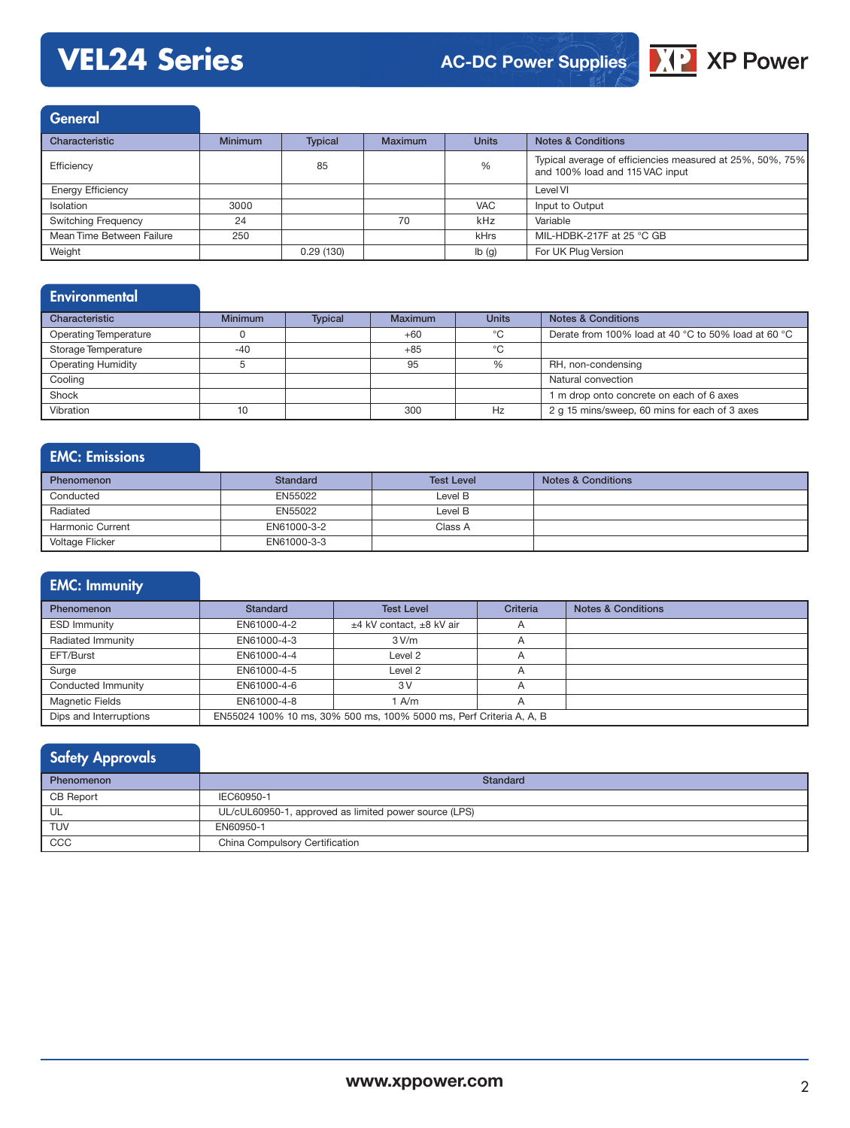# **VEL24 Series**

## **AC-DC Power Supplies**



**General** 

| Characteristic             | <b>Minimum</b> | <b>Typical</b> | <b>Maximum</b> | <b>Units</b> | <b>Notes &amp; Conditions</b>                                                                |
|----------------------------|----------------|----------------|----------------|--------------|----------------------------------------------------------------------------------------------|
| Efficiency                 |                | 85             |                | %            | Typical average of efficiencies measured at 25%, 50%, 75%<br>and 100% load and 115 VAC input |
| <b>Energy Efficiency</b>   |                |                |                |              | Level VI                                                                                     |
| <b>Isolation</b>           | 3000           |                |                | <b>VAC</b>   | Input to Output                                                                              |
| <b>Switching Frequency</b> | 24             |                | 70             | kHz          | Variable                                                                                     |
| Mean Time Between Failure  | 250            |                |                | kHrs         | MIL-HDBK-217F at 25 °C GB                                                                    |
| Weight                     |                | 0.29(130)      |                | Ib(g)        | For UK Plug Version                                                                          |

### **Environmental**

| Characteristic               | <b>Minimum</b> | <b>Typical</b> | <b>Maximum</b> | <b>Units</b> | <b>Notes &amp; Conditions</b>                       |
|------------------------------|----------------|----------------|----------------|--------------|-----------------------------------------------------|
| <b>Operating Temperature</b> |                |                | $+60$          | ℃            | Derate from 100% load at 40 °C to 50% load at 60 °C |
| Storage Temperature          | $-40$          |                | $+85$          | °C           |                                                     |
| <b>Operating Humidity</b>    |                |                | 95             | %            | RH, non-condensing                                  |
| Cooling                      |                |                |                |              | Natural convection                                  |
| Shock                        |                |                |                |              | 1 m drop onto concrete on each of 6 axes            |
| Vibration                    | 10             |                | 300            | Hz           | 2 g 15 mins/sweep, 60 mins for each of 3 axes       |

## EMC: Emissions

| Phenomenon              | Standard    | <b>Test Level</b> | <b>Notes &amp; Conditions</b> |
|-------------------------|-------------|-------------------|-------------------------------|
| Conducted               | EN55022     | Level B           |                               |
| Radiated                | EN55022     | Level B           |                               |
| <b>Harmonic Current</b> | EN61000-3-2 | Class A           |                               |
| Voltage Flicker         | EN61000-3-3 |                   |                               |

## EMC: Immunity

| Phenomenon             | Standard                                                            | <b>Test Level</b>        | <b>Criteria</b> | <b>Notes &amp; Conditions</b> |  |
|------------------------|---------------------------------------------------------------------|--------------------------|-----------------|-------------------------------|--|
| <b>ESD Immunity</b>    | EN61000-4-2                                                         | ±4 kV contact. ±8 kV air | $\overline{A}$  |                               |  |
| Radiated Immunity      | EN61000-4-3                                                         | 3 V/m                    | $\overline{A}$  |                               |  |
| EFT/Burst              | EN61000-4-4                                                         | Level 2                  |                 |                               |  |
| Surge                  | EN61000-4-5                                                         | Level 2                  | $\overline{A}$  |                               |  |
| Conducted Immunity     | EN61000-4-6                                                         | 3V                       |                 |                               |  |
| <b>Magnetic Fields</b> | EN61000-4-8                                                         | A/m                      |                 |                               |  |
| Dips and Interruptions | EN55024 100% 10 ms, 30% 500 ms, 100% 5000 ms, Perf Criteria A, A, B |                          |                 |                               |  |

### **Safety Approvals**

| Phenomenon | Standard                                              |
|------------|-------------------------------------------------------|
| CB Report  | IEC60950-1                                            |
| UL         | UL/cUL60950-1, approved as limited power source (LPS) |
| <b>TUV</b> | EN60950-1                                             |
| CCC        | China Compulsory Certification                        |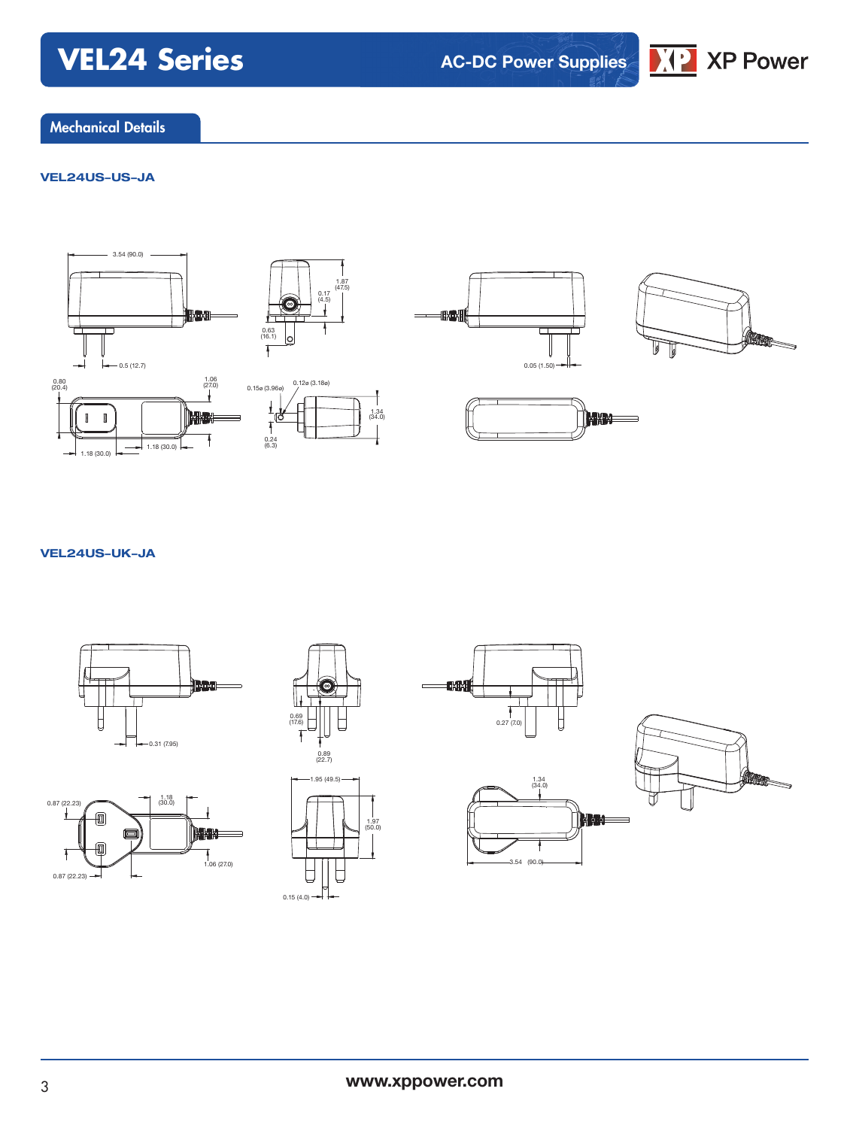# **VEL24 Series**

**AC-DC Power Supplies**



### Mechanical Details

#### **VEL24US-US-JA**



#### **VEL24US-UK-JA**